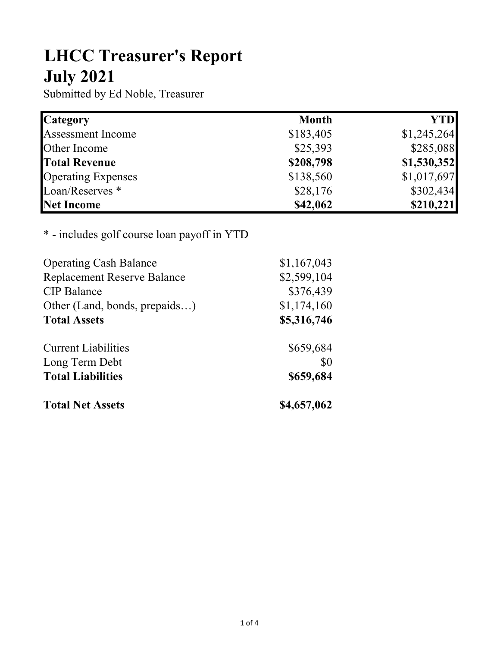## LHCC Treasurer's Report July 2021

Submitted by Ed Noble, Treasurer

| <b>Category</b>            | <b>Month</b> | <b>YTD</b>  |
|----------------------------|--------------|-------------|
| <b>Assessment Income</b>   | \$183,405    | \$1,245,264 |
| <b>Other Income</b>        | \$25,393     | \$285,088   |
| <b>Total Revenue</b>       | \$208,798    | \$1,530,352 |
| <b>Operating Expenses</b>  | \$138,560    | \$1,017,697 |
| Loan/Reserves <sup>*</sup> | \$28,176     | \$302,434   |
| Net Income                 | \$42,062     | \$210,221   |

## \* - includes golf course loan payoff in YTD

| <b>Operating Cash Balance</b>      | \$1,167,043 |
|------------------------------------|-------------|
| <b>Replacement Reserve Balance</b> | \$2,599,104 |
| <b>CIP</b> Balance                 | \$376,439   |
| Other (Land, bonds, prepaids)      | \$1,174,160 |
| <b>Total Assets</b>                | \$5,316,746 |
| <b>Current Liabilities</b>         | \$659,684   |
| Long Term Debt                     | \$0         |
| <b>Total Liabilities</b>           | \$659,684   |
| <b>Total Net Assets</b>            | \$4,657,062 |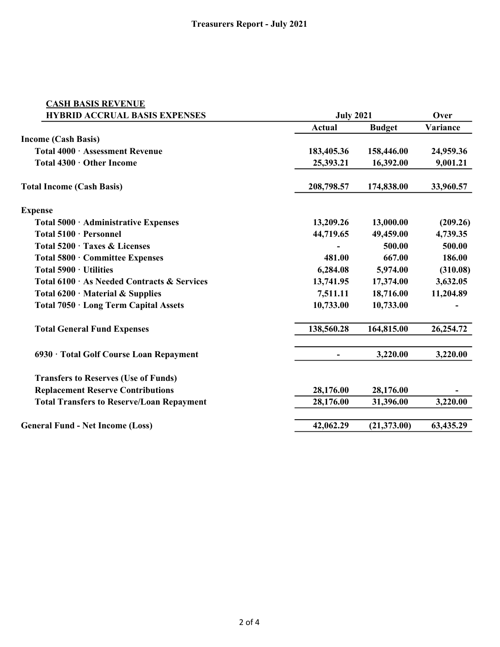| <b>CASH BASIS REVENUE</b>                        |                  |               |           |  |
|--------------------------------------------------|------------------|---------------|-----------|--|
| <b>HYBRID ACCRUAL BASIS EXPENSES</b>             | <b>July 2021</b> |               | Over      |  |
|                                                  | Actual           | <b>Budget</b> | Variance  |  |
| <b>Income (Cash Basis)</b>                       |                  |               |           |  |
| Total 4000 · Assessment Revenue                  | 183,405.36       | 158,446.00    | 24,959.36 |  |
| Total 4300 · Other Income                        | 25,393.21        | 16,392.00     | 9,001.21  |  |
| <b>Total Income (Cash Basis)</b>                 | 208,798.57       | 174,838.00    | 33,960.57 |  |
| <b>Expense</b>                                   |                  |               |           |  |
| Total 5000 · Administrative Expenses             | 13,209.26        | 13,000.00     | (209.26)  |  |
| Total 5100 · Personnel                           | 44,719.65        | 49,459.00     | 4,739.35  |  |
| Total 5200 · Taxes & Licenses                    |                  | 500.00        | 500.00    |  |
| Total 5800 · Committee Expenses                  | 481.00           | 667.00        | 186.00    |  |
| Total 5900 · Utilities                           | 6,284.08         | 5,974.00      | (310.08)  |  |
| Total 6100 · As Needed Contracts & Services      | 13,741.95        | 17,374.00     | 3,632.05  |  |
| Total $6200 \cdot$ Material & Supplies           | 7,511.11         | 18,716.00     | 11,204.89 |  |
| Total 7050 · Long Term Capital Assets            | 10,733.00        | 10,733.00     |           |  |
| <b>Total General Fund Expenses</b>               | 138,560.28       | 164,815.00    | 26,254.72 |  |
| 6930 · Total Golf Course Loan Repayment          |                  | 3,220.00      | 3,220.00  |  |
| <b>Transfers to Reserves (Use of Funds)</b>      |                  |               |           |  |
| <b>Replacement Reserve Contributions</b>         | 28,176.00        | 28,176.00     |           |  |
| <b>Total Transfers to Reserve/Loan Repayment</b> | 28,176.00        | 31,396.00     | 3,220.00  |  |
| <b>General Fund - Net Income (Loss)</b>          | 42,062.29        | (21, 373.00)  | 63,435.29 |  |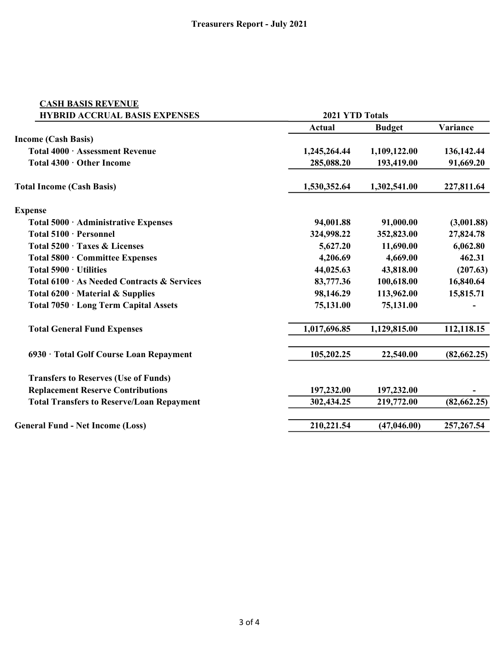| <b>CASH BASIS REVENUE</b>                        |                        |               |              |
|--------------------------------------------------|------------------------|---------------|--------------|
| <b>HYBRID ACCRUAL BASIS EXPENSES</b>             | <b>2021 YTD Totals</b> |               |              |
|                                                  | <b>Actual</b>          | <b>Budget</b> | Variance     |
| <b>Income (Cash Basis)</b>                       |                        |               |              |
| Total 4000 · Assessment Revenue                  | 1,245,264.44           | 1,109,122.00  | 136,142.44   |
| Total 4300 · Other Income                        | 285,088.20             | 193,419.00    | 91,669.20    |
| <b>Total Income (Cash Basis)</b>                 | 1,530,352.64           | 1,302,541.00  | 227,811.64   |
| <b>Expense</b>                                   |                        |               |              |
| Total 5000 · Administrative Expenses             | 94,001.88              | 91,000.00     | (3,001.88)   |
| Total 5100 · Personnel                           | 324,998.22             | 352,823.00    | 27,824.78    |
| Total 5200 · Taxes & Licenses                    | 5,627.20               | 11,690.00     | 6,062.80     |
| Total 5800 · Committee Expenses                  | 4,206.69               | 4,669.00      | 462.31       |
| Total 5900 · Utilities                           | 44,025.63              | 43,818.00     | (207.63)     |
| Total 6100 · As Needed Contracts & Services      | 83,777.36              | 100,618.00    | 16,840.64    |
| Total $6200 \cdot$ Material & Supplies           | 98,146.29              | 113,962.00    | 15,815.71    |
| Total 7050 · Long Term Capital Assets            | 75,131.00              | 75,131.00     |              |
| <b>Total General Fund Expenses</b>               | 1,017,696.85           | 1,129,815.00  | 112,118.15   |
| 6930 · Total Golf Course Loan Repayment          | 105,202.25             | 22,540.00     | (82, 662.25) |
| <b>Transfers to Reserves (Use of Funds)</b>      |                        |               |              |
| <b>Replacement Reserve Contributions</b>         | 197,232.00             | 197,232.00    |              |
| <b>Total Transfers to Reserve/Loan Repayment</b> | 302,434.25             | 219,772.00    | (82,662.25)  |
| <b>General Fund - Net Income (Loss)</b>          | 210,221.54             | (47, 046.00)  | 257, 267.54  |
|                                                  |                        |               |              |